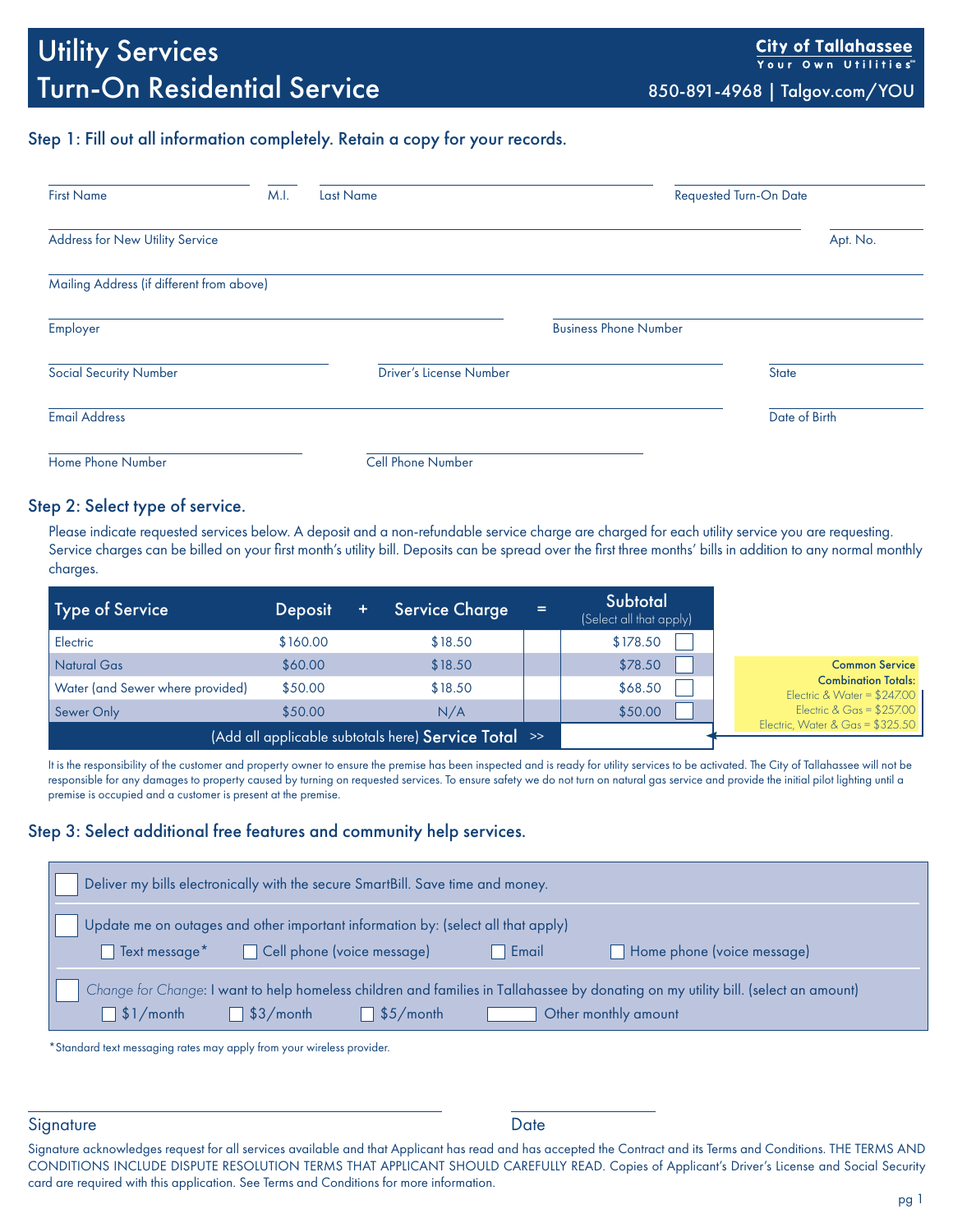## Step 1: Fill out all information completely. Retain a copy for your records.

| <b>First Name</b>                         | M.I. | <b>Last Name</b>               | <b>Requested Turn-On Date</b> |               |  |
|-------------------------------------------|------|--------------------------------|-------------------------------|---------------|--|
| Address for New Utility Service           |      |                                |                               | Apt. No.      |  |
| Mailing Address (if different from above) |      |                                |                               |               |  |
| Employer                                  |      |                                | <b>Business Phone Number</b>  |               |  |
| <b>Social Security Number</b>             |      | <b>Driver's License Number</b> | <b>State</b>                  |               |  |
| <b>Email Address</b>                      |      |                                |                               | Date of Birth |  |
| Home Phone Number                         |      | <b>Cell Phone Number</b>       |                               |               |  |

#### Step 2: Select type of service.

Please indicate requested services below. A deposit and a non-refundable service charge are charged for each utility service you are requesting. Service charges can be billed on your first month's utility bill. Deposits can be spread over the first three months' bills in addition to any normal monthly charges.

| Type of Service                  | <b>Deposit</b> | <b>Service Charge</b>                                | $=$ | Subtotal<br>(Select all that apply) |                                                            |
|----------------------------------|----------------|------------------------------------------------------|-----|-------------------------------------|------------------------------------------------------------|
| Electric                         | \$160.00       | \$18.50                                              |     | \$178.50                            |                                                            |
| <b>Natural Gas</b>               | \$60.00        | \$18.50                                              |     | \$78.50                             | <b>Common Service</b>                                      |
| Water (and Sewer where provided) | \$50.00        | \$18.50                                              |     | \$68.50                             | <b>Combination Totals:</b><br>Electric & Water = $$247.00$ |
| Sewer Only                       | \$50.00        | N/A                                                  |     | \$50.00                             | Electric & Gas = $$257.00$                                 |
|                                  |                | (Add all applicable subtotals here) Service Total >> |     |                                     | Electric, Water & Gas = $$325.50$                          |

It is the responsibility of the customer and property owner to ensure the premise has been inspected and is ready for utility services to be activated. The City of Tallahassee will not be responsible for any damages to property caused by turning on requested services. To ensure safety we do not turn on natural gas service and provide the initial pilot lighting until a premise is occupied and a customer is present at the premise.

## Step 3: Select additional free features and community help services.

| Deliver my bills electronically with the secure SmartBill. Save time and money.                                                                                                        |                             |  |  |  |  |  |  |  |  |
|----------------------------------------------------------------------------------------------------------------------------------------------------------------------------------------|-----------------------------|--|--|--|--|--|--|--|--|
| Update me on outages and other important information by: (select all that apply)<br>Home phone (voice message)<br>□ Text message* □ Cell phone (voice message)<br>$\blacksquare$ Email |                             |  |  |  |  |  |  |  |  |
| Change for Change: I want to help homeless children and families in Tallahassee by donating on my utility bill. (select an amount)                                                     |                             |  |  |  |  |  |  |  |  |
| $\Box$ \$3/month $\Box$ \$5/month<br>$\Box$ \$1/month                                                                                                                                  | <b>Other monthly amount</b> |  |  |  |  |  |  |  |  |

\*Standard text messaging rates may apply from your wireless provider.

#### Signature Date

Signature acknowledges request for all services available and that Applicant has read and has accepted the Contract and its Terms and Conditions. THE TERMS AND CONDITIONS INCLUDE DISPUTE RESOLUTION TERMS THAT APPLICANT SHOULD CAREFULLY READ. Copies of Applicant's Driver's License and Social Security card are required with this application. See Terms and Conditions for more information.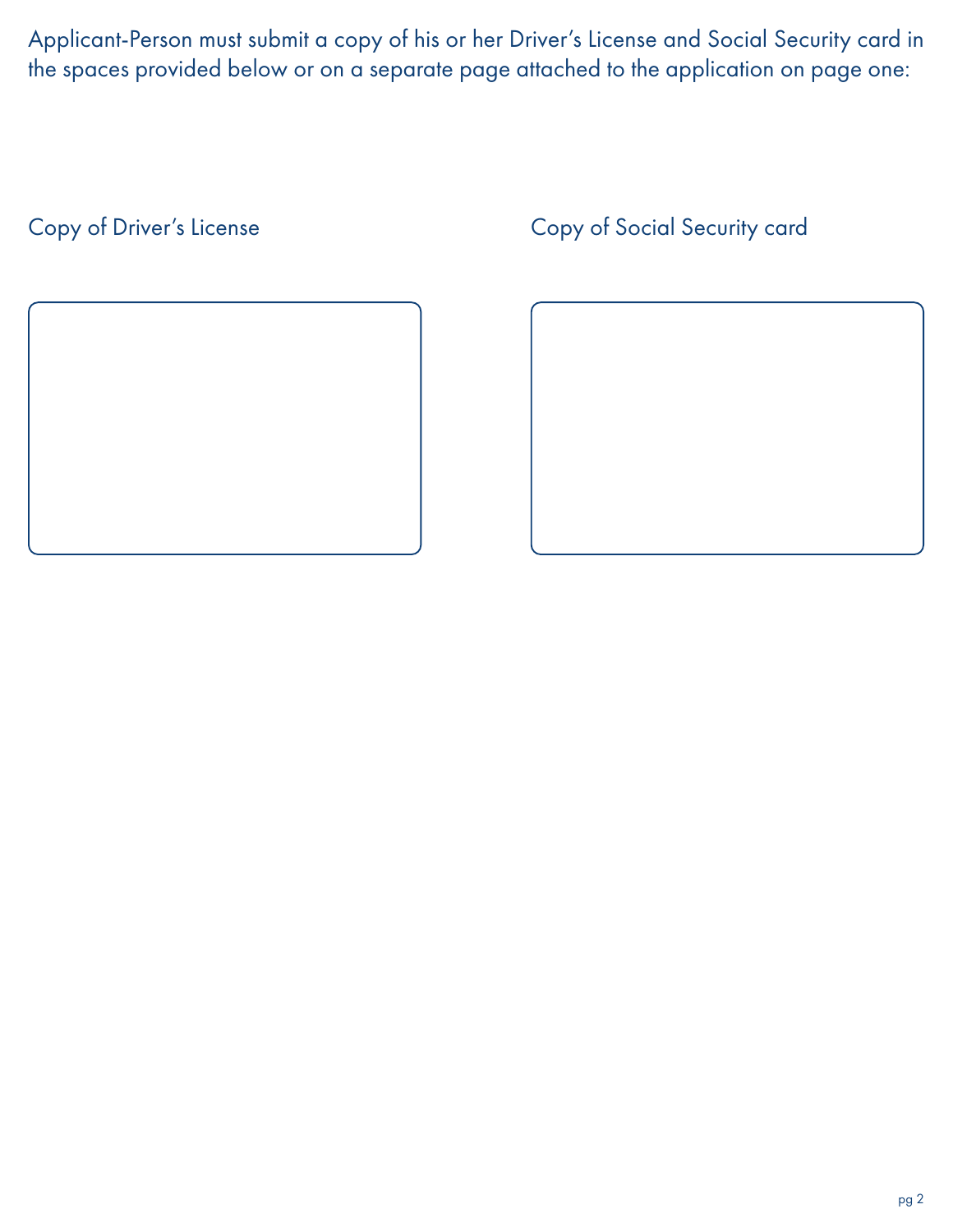Applicant-Person must submit a copy of his or her Driver's License and Social Security card in the spaces provided below or on a separate page attached to the application on page one:



# Copy of Driver's License Copy of Social Security card

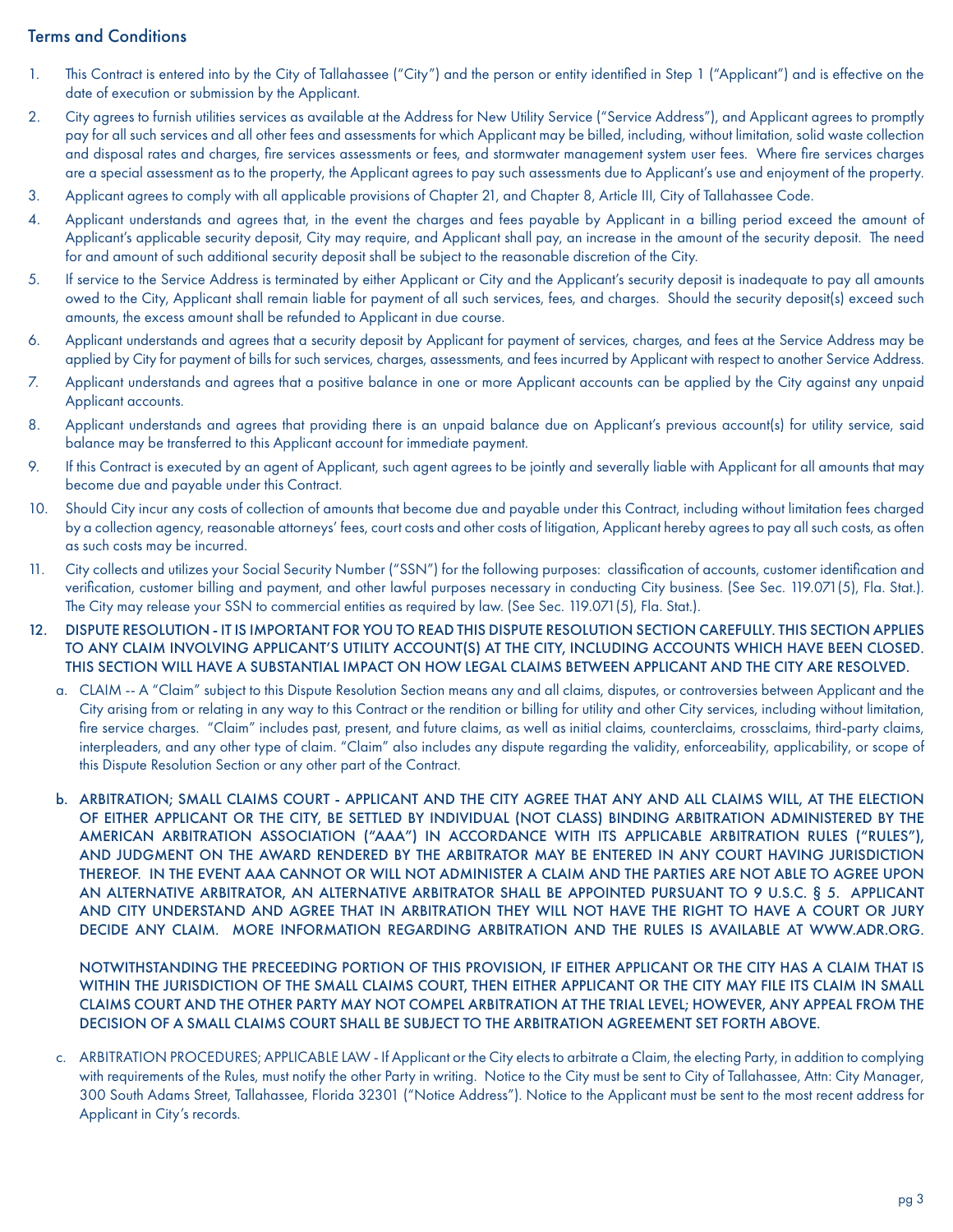# Terms and Conditions

- 1. This Contract is entered into by the City of Tallahassee ("City") and the person or entity identified in Step 1 ("Applicant") and is effective on the date of execution or submission by the Applicant.
- 2. City agrees to furnish utilities services as available at the Address for New Utility Service ("Service Address"), and Applicant agrees to promptly pay for all such services and all other fees and assessments for which Applicant may be billed, including, without limitation, solid waste collection and disposal rates and charges, fire services assessments or fees, and stormwater management system user fees. Where fire services charges are a special assessment as to the property, the Applicant agrees to pay such assessments due to Applicant's use and enjoyment of the property.
- 3. Applicant agrees to comply with all applicable provisions of Chapter 21, and Chapter 8, Article III, City of Tallahassee Code.
- 4. Applicant understands and agrees that, in the event the charges and fees payable by Applicant in a billing period exceed the amount of Applicant's applicable security deposit, City may require, and Applicant shall pay, an increase in the amount of the security deposit. The need for and amount of such additional security deposit shall be subject to the reasonable discretion of the City.
- 5. If service to the Service Address is terminated by either Applicant or City and the Applicant's security deposit is inadequate to pay all amounts owed to the City, Applicant shall remain liable for payment of all such services, fees, and charges. Should the security deposit(s) exceed such amounts, the excess amount shall be refunded to Applicant in due course.
- 6. Applicant understands and agrees that a security deposit by Applicant for payment of services, charges, and fees at the Service Address may be applied by City for payment of bills for such services, charges, assessments, and fees incurred by Applicant with respect to another Service Address.
- 7. Applicant understands and agrees that a positive balance in one or more Applicant accounts can be applied by the City against any unpaid Applicant accounts.
- 8. Applicant understands and agrees that providing there is an unpaid balance due on Applicant's previous account(s) for utility service, said balance may be transferred to this Applicant account for immediate payment.
- 9. If this Contract is executed by an agent of Applicant, such agent agrees to be jointly and severally liable with Applicant for all amounts that may become due and payable under this Contract.
- 10. Should City incur any costs of collection of amounts that become due and payable under this Contract, including without limitation fees charged by a collection agency, reasonable attorneys' fees, court costs and other costs of litigation, Applicant hereby agrees to pay all such costs, as often as such costs may be incurred.
- 11. City collects and utilizes your Social Security Number ("SSN") for the following purposes: classification of accounts, customer identification and verification, customer billing and payment, and other lawful purposes necessary in conducting City business. (See Sec. 119.071(5), Fla. Stat.). The City may release your SSN to commercial entities as required by law. (See Sec. 119.071(5), Fla. Stat.).
- 12. DISPUTE RESOLUTION IT IS IMPORTANT FOR YOU TO READ THIS DISPUTE RESOLUTION SECTION CAREFULLY. THIS SECTION APPLIES TO ANY CLAIM INVOLVING APPLICANT'S UTILITY ACCOUNT(S) AT THE CITY, INCLUDING ACCOUNTS WHICH HAVE BEEN CLOSED. THIS SECTION WILL HAVE A SUBSTANTIAL IMPACT ON HOW LEGAL CLAIMS BETWEEN APPLICANT AND THE CITY ARE RESOLVED.
	- a. CLAIM -- A "Claim" subject to this Dispute Resolution Section means any and all claims, disputes, or controversies between Applicant and the City arising from or relating in any way to this Contract or the rendition or billing for utility and other City services, including without limitation, fire service charges. "Claim" includes past, present, and future claims, as well as initial claims, counterclaims, crossclaims, third-party claims, interpleaders, and any other type of claim. "Claim" also includes any dispute regarding the validity, enforceability, applicability, or scope of this Dispute Resolution Section or any other part of the Contract.
	- b. ARBITRATION; SMALL CLAIMS COURT APPLICANT AND THE CITY AGREE THAT ANY AND ALL CLAIMS WILL, AT THE ELECTION OF EITHER APPLICANT OR THE CITY, BE SETTLED BY INDIVIDUAL (NOT CLASS) BINDING ARBITRATION ADMINISTERED BY THE AMERICAN ARBITRATION ASSOCIATION ("AAA") IN ACCORDANCE WITH ITS APPLICABLE ARBITRATION RULES ("RULES"), AND JUDGMENT ON THE AWARD RENDERED BY THE ARBITRATOR MAY BE ENTERED IN ANY COURT HAVING JURISDICTION THEREOF. IN THE EVENT AAA CANNOT OR WILL NOT ADMINISTER A CLAIM AND THE PARTIES ARE NOT ABLE TO AGREE UPON AN ALTERNATIVE ARBITRATOR, AN ALTERNATIVE ARBITRATOR SHALL BE APPOINTED PURSUANT TO 9 U.S.C. § 5. APPLICANT AND CITY UNDERSTAND AND AGREE THAT IN ARBITRATION THEY WILL NOT HAVE THE RIGHT TO HAVE A COURT OR JURY DECIDE ANY CLAIM. MORE INFORMATION REGARDING ARBITRATION AND THE RULES IS AVAILABLE AT WWW.ADR.ORG.

NOTWITHSTANDING THE PRECEEDING PORTION OF THIS PROVISION, IF EITHER APPLICANT OR THE CITY HAS A CLAIM THAT IS WITHIN THE JURISDICTION OF THE SMALL CLAIMS COURT, THEN EITHER APPLICANT OR THE CITY MAY FILE ITS CLAIM IN SMALL CLAIMS COURT AND THE OTHER PARTY MAY NOT COMPEL ARBITRATION AT THE TRIAL LEVEL; HOWEVER, ANY APPEAL FROM THE DECISION OF A SMALL CLAIMS COURT SHALL BE SUBJECT TO THE ARBITRATION AGREEMENT SET FORTH ABOVE.

c. ARBITRATION PROCEDURES; APPLICABLE LAW - If Applicant or the City elects to arbitrate a Claim, the electing Party, in addition to complying with requirements of the Rules, must notify the other Party in writing. Notice to the City must be sent to City of Tallahassee, Attn: City Manager, 300 South Adams Street, Tallahassee, Florida 32301 ("Notice Address"). Notice to the Applicant must be sent to the most recent address for Applicant in City's records.